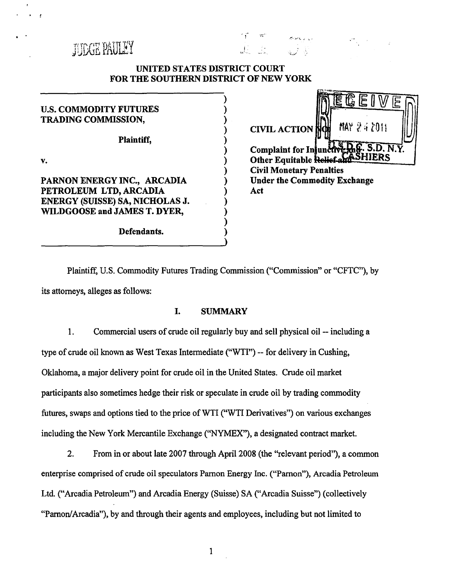

# UNITED STATES DISTRICT COURT FOR THE SOUTHERN DISTRICT OF NEW YORK

) ) ) ) ) ) ) ) ) ) ) ) ) )

ا . .<br>پاس

| <b>U.S. COMMODITY FUTURES</b><br><b>TRADING COMMISSION,</b>                                                              |  |  |  |
|--------------------------------------------------------------------------------------------------------------------------|--|--|--|
| Plaintiff,                                                                                                               |  |  |  |
| V.                                                                                                                       |  |  |  |
| PARNON ENERGY INC., ARCADIA<br>PETROLEUM LTD, ARCADIA<br>ENERGY (SUISSE) SA, NICHOLAS J.<br>WILDGOOSE and JAMES T. DYER, |  |  |  |
| Defendants.                                                                                                              |  |  |  |



Plaintiff, U.S. Commodity Futures Trading Commission ("Commission" or "CFTC"), by its attorneys, alleges as follows:

# I. SUMMARY

1. Commercial users of crude oil regularly buy and sell physical oil -- including a type of crude oil known as West Texas Intermediate ("WTI") -- for delivery in Cushing, Oklahoma, a major delivery point for crude oil in the United States. Crude oil market participants also sometimes hedge their risk or speculate in crude oil by trading commodity futures, swaps and options tied to the price of WTI ("WTI Derivatives") on various exchanges including the New York Mercantile Exchange (''NYMEX"), a designated contract market.

2. From in or about late 2007 through April 2008 (the "relevant period"), a common enterprise comprised of crude oil speculators Parnon Energy Inc. ("Parnon"), Arcadia Petroleum Ltd. ("Arcadia Petroleum") and Arcadia Energy (Suisse) SA ("Arcadia Suisse") (collectively "Parnon/ Arcadia"), by and through their agents and employees, including but not limited to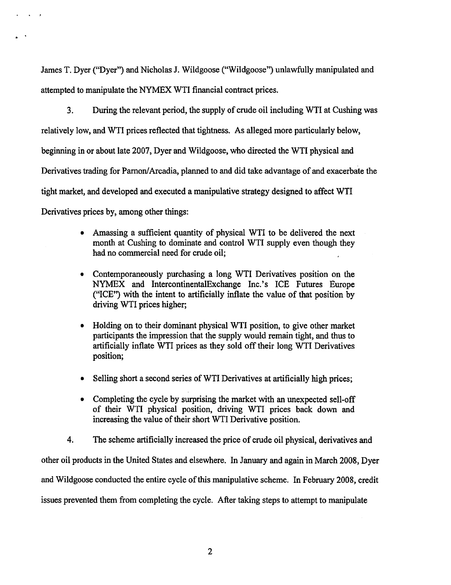James T. Dyer ("Dyer") and Nicholas J. Wildgoose ("Wildgoose") unlawfully manipulated and attempted to manipulate the NYMEX WTI financial contract prices.

 $\mathbf{r} = \mathbf{r} \mathbf{r} + \mathbf{r} \mathbf{r}$ 

3. During the relevant period, the supply of crude oil including WTI at Cushing was relatively low, and WTI prices reflected that tightness. As alleged more particularly below, beginning in or about late 2007, Dyer and Wildgoose, who directed the WTI physical and Derivatives trading for Parnon/Arcadia, planned to and did take advantage of and exacerbate the tight market, and developed and executed a manipulative strategy designed to affect WTI Derivatives prices by, among other things:

- Amassing a sufficient quantity of physical WTI to be delivered the next month at Cushing to dominate and control WTI supply even though they had no commercial need for crude oil;
- Contemporaneously purchasing a long WTI Derivatives position on the NYMEX and lntercontinentalExchange Inc.'s ICE Futures Europe ("ICE") with the intent to artificially inflate the value of that position by driving WTI prices higher;
- Holding on to their dominant physical WTI position, to give other market participants the impression that the supply would remain tight, and thus to artificially inflate WTI prices as they sold off their long WTI Derivatives position;
- Selling short a second series of WTI Derivatives at artificially high prices;
- Completing the cycle by surprising the market with an unexpected sell-off of their WTI physical position, driving WTI prices back down and increasing the value of their short WTI Derivative position.

4. The scheme artificially increased the price of crude oil physical, derivatives and other oil products in the United States and elsewhere. In January and again in March 2008, Dyer and Wildgoose conducted the entire cycle of this manipulative scheme. In February 2008, credit issues prevented them from completing the cycle. After taking steps to attempt to manipulate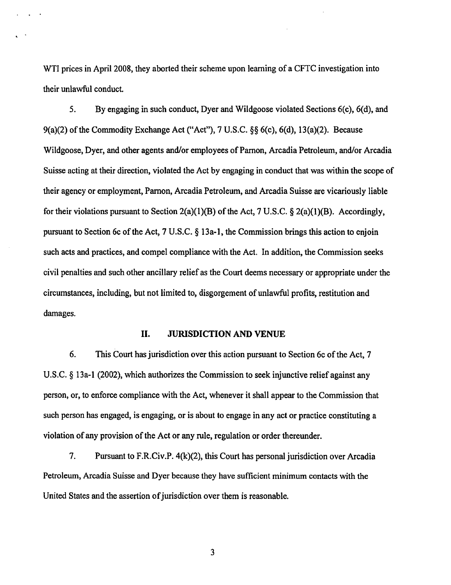WTI prices in April 2008, they aborted their scheme upon learning of a CFTC investigation into their unlawful conduct.

5. By engaging in such conduct, Dyer and Wildgoose violated Sections 6(c), 6(d), and 9(a)(2) of the Commodity Exchange Act ("Act"), 7 U.S.C. §§ 6(c), 6(d), 13(a)(2). Because Wildgoose, Dyer, and other agents and/or employees of Parnon, Arcadia Petroleum, and/or Arcadia Suisse acting at their direction, violated the Act by engaging in conduct that was within the scope of their agency or employment, Parnon, Arcadia Petroleum, and Arcadia Suisse are vicariously liable for their violations pursuant to Section 2(a)(1)(B) of the Act, 7 U.S.C. § 2(a)(1)(B). Accordingly, pursuant to Section 6c of the Act, 7 U.S.C. § 13a-l, the Commission brings this action to enjoin such acts and practices, and compel compliance with the Act. In addition, the Commission seeks civil penalties and such other ancillary relief as the Court deems necessary or appropriate under the circumstances, including, but not limited to, disgorgement of unlawful profits, restitution and damages.

#### II. JURISDICTION AND VENUE

6. This Court has jurisdiction over this action pursuant to Section 6c of the Act, 7 U.S.C. § 13a-1 (2002), which authorizes the Commission to seek injunctive relief against any person, or, to enforce compliance with the Act, whenever it shall appear to the Commission that such person has engaged, is engaging, or is about to engage in any act or practice constituting a violation of any provision of the Act or any rule, regulation or order thereunder.

7. Pursuant to F.R.Civ.P. 4(k)(2), this Court has personal jurisdiction over Arcadia Petroleum, Arcadia Suisse and Dyer because they have sufficient minimum contacts with the United States and the assertion of jurisdiction over them is reasonable.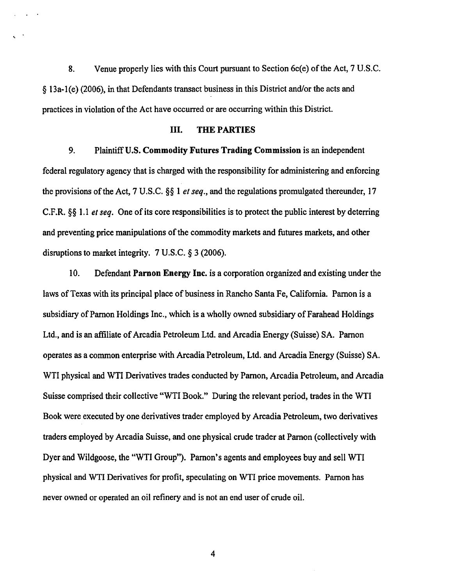8. Venue properly lies with this Court pursuant to Section 6c(e) of the Act, 7 U.S.C. § 13a-1(e) (2006), in that Defendants transact business in this District and/or the acts and practices in violation of the Act have occurred or are occurring within this District.

## III. THE PARTIES

9. Plaintiff U.S. Commodity Futures Trading Commission is an independent federal regulatory agency that is charged with the responsibility for administering and enforcing the provisions of the Act, 7 U.S.C. §§ 1 *et seq.,* and the regulations promulgated thereunder, 17 C.F.R. §§ 1.1 *et seq.* One of its core responsibilities is to protect the public interest by deterring and preventing price manipulations of the commodity markets and futures markets, and other disruptions to market integrity. 7 U.S.C. § 3 (2006).

10. Defendant Parnon Energy Inc. is a corporation organized and existing under the laws of Texas with its principal place of business in Rancho Santa Fe, California. Parnon is a subsidiary of Parnon Holdings Inc., which is a wholly owned subsidiary of Farahead Holdings Ltd., and is an affiliate of Arcadia Petroleum Ltd. and Arcadia Energy (Suisse) SA. Parnon operates as a common enterprise with Arcadia Petroleum, Ltd. and Arcadia Energy (Suisse) SA. WTI physical and WTI Derivatives trades conducted by Parnon, Arcadia Petroleum, and Arcadia Suisse comprised their collective "WTI Book." During the relevant period, trades in the WTI Book were executed by one derivatives trader employed by Arcadia Petroleum, two derivatives traders employed by Arcadia Suisse, and one physical crude trader at Parnon (collectively with Dyer and Wildgoose, the "WTI Group"). Parnon's agents and employees buy and sell WTI physical and WTI Derivatives for profit, speculating on WTI price movements. Parnon has never owned or operated an oil refinery and is not an end user of crude oil.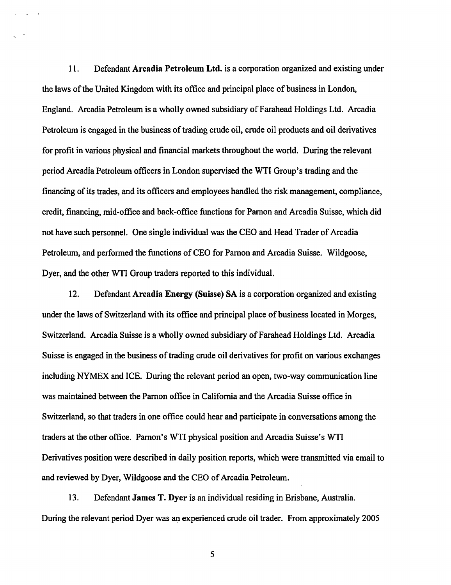11. Defendant Arcadia Petroleum Ltd. is a corporation organized and existing under the laws of the United Kingdom with its office and principal place of business in London, England. Arcadia Petroleum is a wholly owned subsidiary ofFarahead Holdings Ltd. Arcadia Petroleum is engaged in the business of trading crude oil, crude oil products and oil derivatives for profit in various physical and financial markets throughout the world. During the relevant period Arcadia Petroleum officers in London supervised the WTI Group's trading and the financing of its trades, and its officers and employees handled the risk management, compliance, credit, financing, mid-office and back-office functions for Parnon and Arcadia Suisse, which did not have such personnel. One single individual was the CEO and Head Trader of Arcadia Petroleum, and performed the functions of CEO for Parnon and Arcadia Suisse. Wildgoose, Dyer, and the other WTI Group traders reported to this individual.

12. Defendant Arcadia Energy (Suisse) SA is a corporation organized and existing under the laws of Switzerland with its office and principal place of business located in Morges, Switzerland. Arcadia Suisse is a wholly owned subsidiary of Farahead Holdings Ltd. Arcadia Suisse is engaged in the business of trading crude oil derivatives for profit on various exchanges including NYMEX and ICE. During the relevant period an open, two-way communication line was maintained between the Pamon office in California and the Arcadia Suisse office in Switzerland, so that traders in one office could hear and participate in conversations among the traders at the other office. Pamon's WTI physical position and Arcadia Suisse's WTI Derivatives position were described in daily position reports, which were transmitted via email to and reviewed by Dyer, Wildgoose and the CEO of Arcadia Petroleum.

13. Defendant James T. Dyer is an individual residing in Brisbane, Australia. During the relevant period Dyer was an experienced crude oil trader. From approximately 2005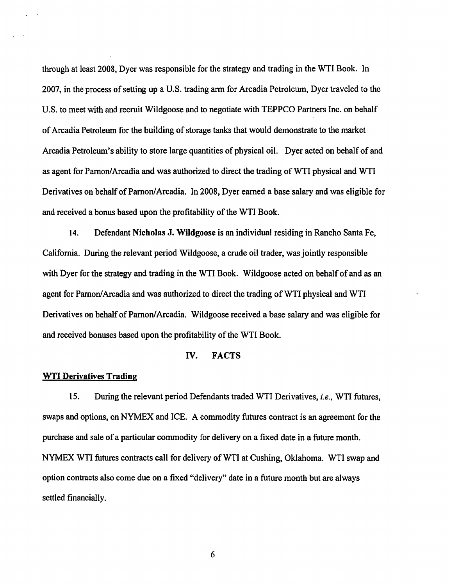through at least 2008, Dyer was responsible for the strategy and trading in the WTI Book. In 2007, in the process of setting up a U.S. trading arm for Arcadia Petrolewn, Dyer traveled to the U.S. to meet with and recruit Wildgoose and to negotiate with TEPPCO Partners Inc. on behalf of Arcadia Petroleum for the building of storage tanks that would demonstrate to the market Arcadia Petroleum's ability to store large quantities of physical oil. Dyer acted on behalf of and as agent for Parnon/Arcadia and was authorized to direct the trading of WTI physical and WTI Derivatives on behalf of Parnon/ Arcadia. In 2008, Dyer earned a base salary and was eligible for and received a bonus based upon the profitability of the WTI Book.

14. Defendant Nicholas J. Wildgoose is an individual residing in Rancho Santa Fe, California. During the relevant period Wildgoose, a crude oil trader, was jointly responsible with Dyer for the strategy and trading in the WTI Book. Wildgoose acted on behalf of and as an agent for Parnon/ Arcadia and was authorized to direct the trading of WTI physical and WTI Derivatives on behalf of Parnon/Arcadia. Wildgoose received a base salary and was eligible for and received bonuses based upon the profitability of the WTI Book.

## IV. FACTS

#### **WTI Derivatives Trading**

15. During the relevant period Defendants traded WTI Derivatives, *i.e.,* WTI futures, swaps and options, on NYMEX and ICE. A commodity futures contract is an agreement for the purchase and sale of a particular commodity for delivery on a fixed date in a future month. NYMEX WTI futures contracts call for delivery of WTI at Cushing, Oklahoma. WTI swap and option contracts also come due on a fixed "delivery" date in a future month but are always settled financially.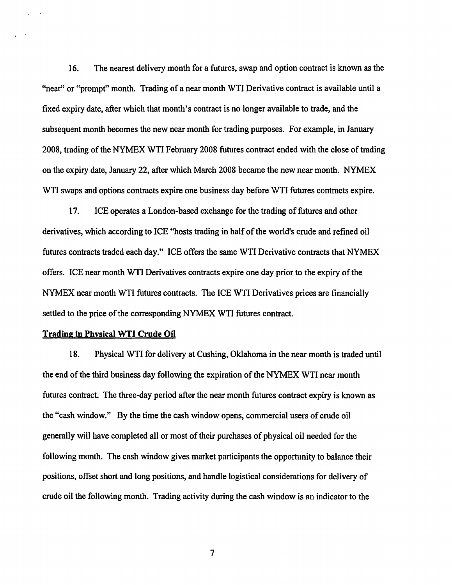16. The nearest delivery month for a futures, swap and option contract is known as the "near" or "prompt" month. Trading of a near month WTI Derivative contract is available until a fixed expiry date, after which that month's contract is no longer available to trade, and the subsequent month becomes the new near month for trading purposes. For example, in January 2008, trading of the NYMEX WTI February 2008 futures contract ended with the close of trading on the expiry date, January 22, after which March 2008 became the new near month. NYMEX WTI swaps and options contracts expire one business day before WTI futures contracts expire.

17. ICE operates a London-based exchange for the trading of futures and other derivatives, which according to ICE "hosts trading in half of the world's crude and refined oil futures contracts traded each day." ICE offers the same WTI Derivative contracts that NYMEX offers. ICE near month WTI Derivatives contracts expire one day prior to the expiry of the NYMEX near month WTI futures contracts. The ICE WTI Derivatives prices are financially settled to the price of the corresponding NYMEX WTI futures contract.

#### **Trading in Physical WTI Crude Oil**

18. Physical WTI for delivery at Cushing, Oklahoma in the near month is traded until the end of the third business day following the expiration of the NYMEX WTI near month futures contract. The three-day period after the near month futures contract expiry is known as the "cash window." By the time the cash window opens, commercial users of crude oil generally will have completed all or most of their purchases of physical oil needed for the following month. The cash window gives market participants the opportunity to balance their positions, offset short and long positions, and handle logistical considerations for delivery of crude oil the following month. Trading activity during the cash window is an indicator to the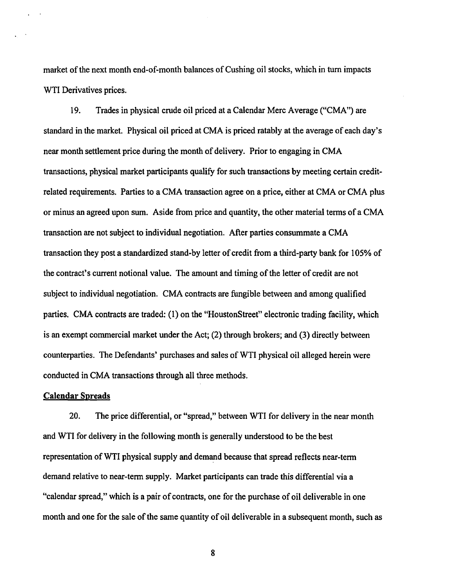market of the next month end-of-month balances of Cushing oil stocks, which in tum impacts WTI Derivatives prices.

19. Trades in physical crude oil priced at a Calendar Mere Average ("CMA") are standard in the market. Physical oil priced at CMA is priced ratably at the average of each day's near month settlement price during the month of delivery. Prior to engaging in CMA transactions, physical market participants qualify for such transactions by meeting certain creditrelated requirements. Parties to a CMA transaction agree on a price, either at CMA or CMA plus or minus an agreed upon sum. Aside from price and quantity, the other material terms of a CMA transaction are not subject to individual negotiation. After parties consummate a CMA transaction they post a standardized stand-by letter of credit from a third-party bank for 105% of the contract's current notional value. The amount and timing of the letter of credit are not subject to individual negotiation. CMA contracts are fungible between and among qualified parties. CMA contracts are traded: (1) on the "HoustonStreet" electronic trading facility, which is an exempt commercial market under the Act; (2) through brokers; and (3) directly between counterparties. The Defendants' purchases and sales of WTI physical oil alleged herein were conducted in CMA transactions through all three methods.

## Calendar Spreads

20. The price differential, or "spread," between WTI for delivery in the near month and WTI for delivery in the following month is generally understood to be the best representation ofWTI physical supply and demand because that spread reflects near-term demand relative to near-term supply. Market participants can trade this differential via a "calendar spread," which is a pair of contracts, one for the purchase of oil deliverable in one month and one for the sale of the same quantity of oil deliverable in a subsequent month, such as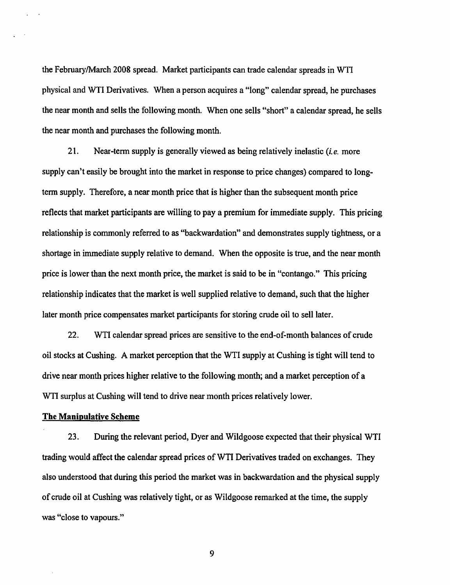the February/March 2008 spread. Market participants can trade calendar spreads in WTI physical and WTI Derivatives. When a person acquires a "long" calendar spread, he purchases the near month and sells the following month. When one sells "short" a calendar spread, he sells the near month and purchases the following month.

21. Near-term supply is generally viewed as being relatively inelastic *(i.e.* more supply can't easily be brought into the market in response to price changes) compared to longtenn supply. Therefore, a near month price that is higher than the subsequent month price reflects that market participants are willing to pay a premium for immediate supply. This pricing relationship is commonly referred to as "backwardation" and demonstrates supply tightness, or a shortage in immediate supply relative to demand. When the opposite is true, and the near month price is lower than the next month price, the market is said to be in "contango." This pricing relationship indicates that the market is well supplied relative to demand, such that the higher later month price compensates market participants for storing crude oil to sell later.

22. WTI calendar spread prices are sensitive to the end-of-month balances of crude oil stocks at Cushing. A market perception that the WTI supply at Cushing is tight will tend to drive near month prices higher relative to the following month; and a market perception of a WTI surplus at Cushing will tend to drive near month prices relatively lower.

#### **The Manipulative Scheme**

23. During the relevant period, Dyer and Wildgoose expected that their physical WTI trading would affect the calendar spread prices of WTI Derivatives traded on exchanges. They also understood that during this period the market was in backwardation and the physical supply of crude oil at Cushing was relatively tight, or as Wildgoose remarked at the time, the supply was "close to vapours."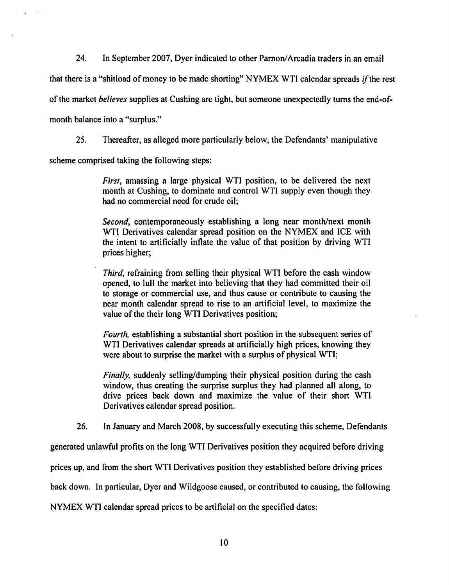24. In September 2007, Dyer indicated to other Parnon/Arcadia traders in an email

that there is a "shitload of money to be made shorting" NYMEX WTI calendar spreads if the rest

of the market *believes* supplies at Cushing are tight, but someone unexpectedly turns the end-of-

month balance into a "surplus."

25. Thereafter, as alleged more particularly below, the Defendants' manipulative

scheme comprised taking the following steps:

*First,* amassing a large physical WTI position, to be delivered the next month at Cushing, to dominate and control WTI supply even though they had no commercial need for crude oil;

*Second,* contemporaneously establishing a long near month/next month WTI Derivatives calendar spread position on the NYMEX and ICE with the intent to artificially inflate the value of that position by driving WTI prices higher;

*Third,* refraining from selling their physical WTI before the cash window opened, to lull the market into believing that they had committed their oil to storage or commercial use, and thus cause or contribute to causing the near month calendar spread to rise to an artificial level, to maximize the value of the their long WTI Derivatives position;

*Fourth,* establishing a substantial short position in the subsequent series of WTI Derivatives calendar spreads at artificially high prices, knowing they were about to surprise the market with a surplus of physical WTI;

*Finally,* suddenly selling/dumping their physical position during the cash window, thus creating the surprise surplus they had planned all along, to drive prices back down and maximize the value of their short WTI Derivatives calendar spread position.

26. In January and March 2008, by successfully executing this scheme, Defendants

generated unlawful profits on the long WTI Derivatives position they acquired before driving

prices up, and from the short WTI Derivatives position they established before driving prices

back down. In particular, Dyer and Wildgoose caused, or contributed to causing, the following

NYMEX WTI calendar spread prices to be artificial on the specified dates: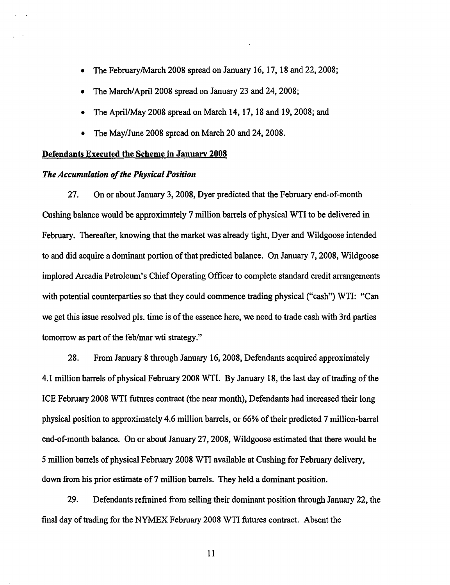- The February/March 2008 spread on January 16, 17, 18 and 22, 2008;
- The March/April 2008 spread on January 23 and 24, 2008;
- The April/May 2008 spread on March 14, 17, 18 and 19, 2008; and
- The May/June 2008 spread on March 20 and 24, 2008.

#### Defendants Executed the Scheme in January 2008

## *The Accumulation of tlte Physical Position*

27. On or about January 3, 2008, Dyer predicted that the February end-of-month Cushing balance would be approximately 7 million barrels of physical WTI to be delivered in February. Thereafter, knowing that the market was already tight, Dyer and Wildgoose intended to and did acquire a dominant portion of that predicted balance. On January 7, 2008, Wildgoose implored Arcadia Petroleum's Chief Operating Officer to complete standard credit arrangements with potential counterparties so that they could commence trading physical ("cash") WTI: "Can we get this issue resolved pls. time is of the essence here, we need to trade cash with 3rd parties tomorrow as part of the feb/mar wti strategy."

28. From January 8 through January 16,2008, Defendants acquired approximately 4.1 million barrels of physical February 2008 WTI. By January 18, the last day of trading of the ICE February 2008 WTI futures contract (the near month), Defendants had increased their long physical position to approximately 4.6 million barrels, or 66% of their predicted 7 million-barrel end-of-month balance. On or about January 27,2008, Wildgoose estimated that there would be 5 million barrels of physical February 2008 WTI available at Cushing for February delivery, down from his prior estimate of 7 million barrels. They held a dominant position.

29. Defendants refrained from selling their dominant position through January 22, the final day of trading for the NYMEX February 2008 WTI futures contract. Absent the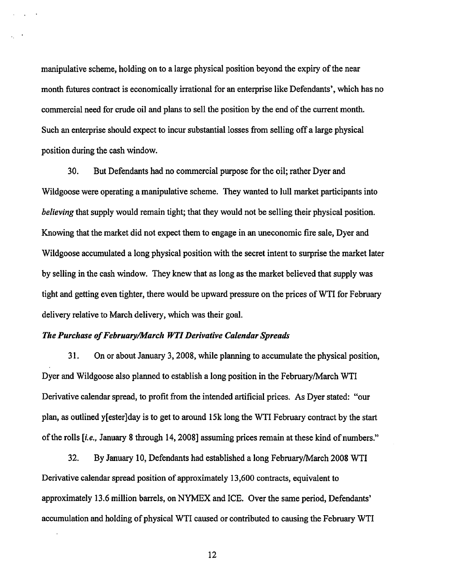manipulative scheme, holding on to a large physical position beyond the expiry of the near month futures contract is economically irrational for an enterprise like Defendants', which has no commercial need for crude oil and plans to sell the position by the end of the current month. Such an enterprise should expect to incur substantial losses from selling off a large physical position during the cash window.

30. But Defendants had no commercial purpose for the oil; rather Dyer and Wildgoose were operating a manipulative scheme. They wanted to lull market participants into *believing* that supply would remain tight; that they would not be selling their physical position. Knowing that the market did not expect them to engage in an uneconomic fire sale, Dyer and Wildgoose accumulated a long physical position with the secret intent to surprise the market later by selling in the cash window. They knew that as long as the market believed that supply was tight and getting even tighter, there would be upward pressure on the prices ofWTI for February delivery relative to March delivery, which was their goal.

## *Tlte Purchase of February/March WTI Derivative Calendar Spreads*

31. On or about January 3, 2008, while planning to accumulate the physical position, Dyer and Wildgoose also planned to establish a long position in the February/March WTI Derivative calendar spread, to profit from the intended artificial prices. As Dyer stated: "our plan, as outlined y[ester]day is to get to around 15k long the WTI February contract by the start of the rolls *[i.e.,* January 8 through 14, 2008] assuming prices remain at these kind of numbers."

32. By January 10, Defendants had established a long February/March 2008 WTI Derivative calendar spread position of approximately 13,600 contracts, equivalent to approximately 13.6 million barrels, on NYMEX and ICE. Over the same period, Defendants' accumulation and holding of physical WTI caused or contributed to causing the February WTI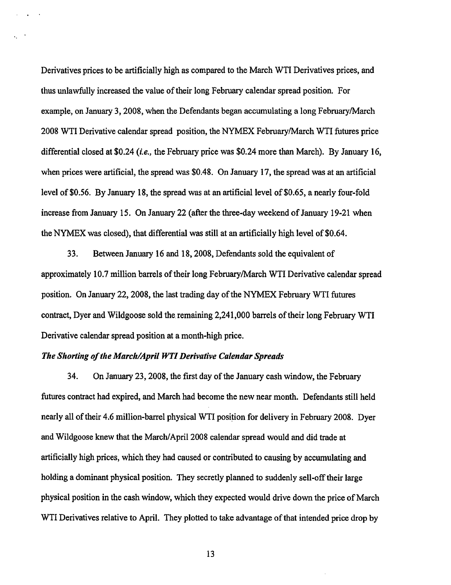Derivatives prices to be artificially high as compared to the March WTI Derivatives prices, and thus unlawfully increased the value of their long February calendar spread position. For example, on January 3, 2008, when the Defendants began accumulating a long February/March 2008 WTI Derivative calendar spread position, the NYMEX February/March WTI futures price differential closed at \$0.24 *(i.e.,* the February price was \$0.24 more than March). By January 16, when prices were artificial, the spread was \$0.48. On January 17, the spread was at an artificial level of \$0.56. By January 18, the spread was at an artificial level of \$0.65, a nearly four-fold increase from January 15. On January 22 (after the three-day weekend of January 19-21 when the NYMEX was closed), that differential was still at an artificially high level of \$0.64.

33. Between January 16 and 18,2008, Defendants sold the equivalent of approximately 10.7 million barrels of their long February/March WTI Derivative calendar spread position. On January 22, 2008, the last trading day of the NYMEX February WTI futures contract, Dyer and Wildgoose sold the remaining 2,241,000 barrels of their long February WTI Derivative calendar spread position at a month-high price.

#### *The Shorting of the March/April WTI Derivative Calendar Spreads*

 $\Delta \sim 10^{11}$  km s  $^{-1}$ 

34. On January 23,2008, the first day of the January cash window, the February futures contract had expired, and March had become the new near month. Defendants still held nearly all of their 4.6 million-barrel physical WTI position for delivery in February 2008. Dyer and Wildgoose knew that the March/April2008 calendar spread would and did trade at artificially high prices, which they had caused or contributed to causing by accumulating and holding a dominant physical position. They secretly planned to suddenly sell-off their large physical position in the cash window, which they expected would drive down the price of March WTI Derivatives relative to April. They plotted to take advantage of that intended price drop by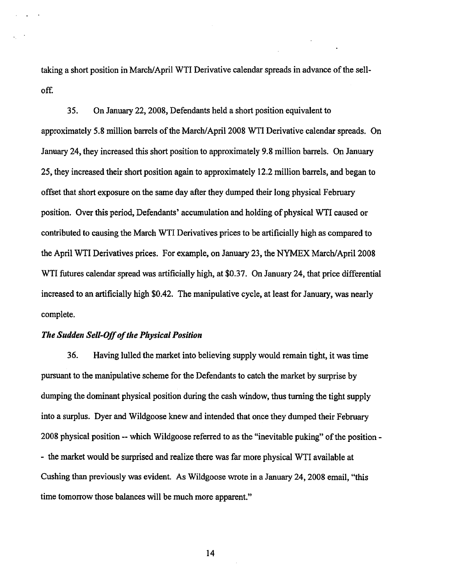taking a short position in March/April WTI Derivative calendar spreads in advance of the sellof£

35. On January 22, 2008, Defendants held a short position equivalent to approximately 5.8 million barrels of the March/April2008 WTI Derivative calendar spreads. On January 24, they increased this short position to approximately 9.8 million barrels. On January 25, they increased their short position again to approximately 12.2 million barrels, and began to offset that short exposure on the same day after they dumped their long physical February position. Over this period, Defendants' accumulation and holding of physical WTI caused or contributed to causing the March WTI Derivatives prices to be artificially high as compared to the April WTI Derivatives prices. For example, on January 23, the NYMEX March/April 2008 WTI futures calendar spread was artificially high, at \$0.37. On January 24, that price differential increased to an artificially high \$0.42. The manipulative cycle, at least for January, was nearly complete.

#### *The Sudden Sell-Off of the Physical Position*

36. Having lulled the market into believing supply would remain tight, it was time pursuant to the manipulative scheme for the Defendants to catch the market by surprise by dumping the dominant physical position during the cash window, thus turning the tight supply into a surplus. Dyer and Wildgoose knew and intended that once they dumped their February 2008 physical position-- which Wildgoose referred to as the "inevitable puking" of the position- - the market would be surprised and realize there was far more physical WTI available at Cushing than previously was evident. As Wildgoose wrote in a January 24, 2008 email, "this time tomorrow those balances will be much more apparent.''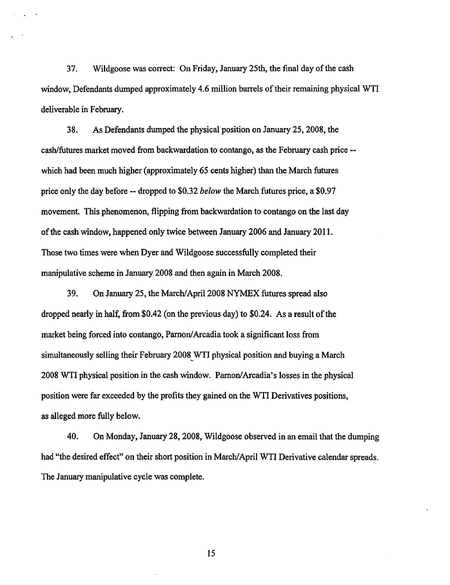37. Wildgoose was correct: On Friday, January 25th, the final day of the cash window, Defendants dumped approximately 4.6 million barrels of their remaining physical WTI deliverable in February.

38. As Defendants dumped the physical position on January 25, 2008, the cash/futures market moved from backwardation to contango, as the February cash price - which had been much higher (approximately 65 cents higher) than the March futures price only the day before -- dropped to \$0.32 *below* the March futures price, a \$0.97 movement. This phenomenon, flipping from backwardation to contango on the last day of the cash window, happened only twice between January 2006 and January 2011. Those two times were when Dyer and Wildgoose successfully completed their manipulative scheme in January 2008 and then again in March 2008.

39. On January 25, the March/April2008 NYMEX futures spread also dropped nearly in half, from \$0.42 (on the previous day) to \$0.24. As a result of the market being forced into contango, Parnon/ Arcadia took a significant loss from simultaneously selling their February 2008\_WTI physical position and buying a March 2008 WTI physical position in the cash window. Parnon/Arcadia's losses in the physical position were far exceeded by the profits they gained on the WTI Derivatives positions, as alleged more fully below.

40. On Monday, January 28, 2008, Wildgoose observed in an email that the dumping had "the desired effect" on their short position in March/April WTI Derivative calendar spreads. The January manipulative cycle was complete.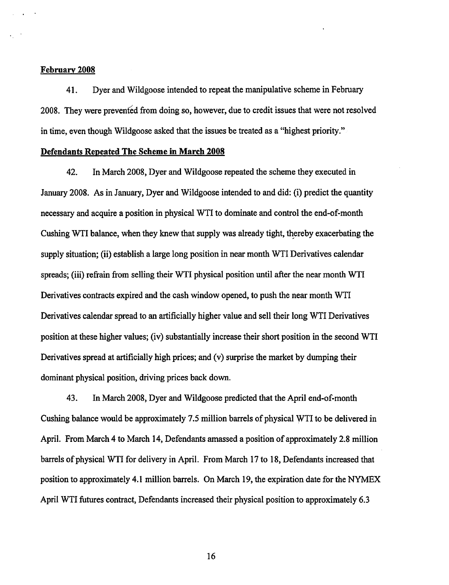#### February 2008

41. Dyer and Wildgoose intended to repeat the manipulative scheme in February 2008. They were prevented from doing so, however, due to credit issues that were not resolved in time, even though Wildgoose asked that the issues be treated as a "highest priority."

#### Defendants Repeated The Scheme in March 2008

42. In March 2008, Dyer and Wildgoose repeated the scheme they executed in January 2008. As in January, Dyer and Wildgoose intended to and did: (i) predict the quantity necessary and acquire a position in physical WTI to dominate and control the end-of-month Cushing WTI balance, when they knew that supply was already tight, thereby exacerbating the supply situation; (ii) establish a large long position in near month WTI Derivatives calendar spreads; (iii) refrain from selling their WTI physical position until after the near month WTI Derivatives contracts expired and the cash window opened, to push the near month WTI Derivatives calendar spread to an artificially higher value and sell their long WTI Derivatives position at these higher values; (iv) substantially increase their short position in the second WTI Derivatives spread at artificially high prices; and (v) surprise the market by dumping their dominant physical position, driving prices back down.

43. In March 2008, Dyer and Wildgoose predicted that the April end-of-month Cushing balance would be approximately 7.5 million barrels of physical WTI to be delivered in April. From March 4 to March 14, Defendants amassed a position of approximately 2.8 million barrels of physical WTI for delivery in April. From March 17 to 18, Defendants increased that position to approximately 4.1 million barrels. On March 19, the expiration date for the NYMEX April WTI futures contract, Defendants increased their physical position to approximately 6.3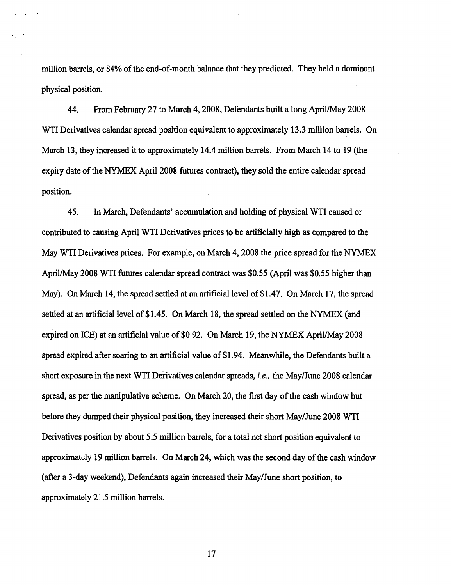million barrels, or 84% of the end-of-month balance that they predicted. They held a dominant physical position.

44. From February 27 to March 4, 2008, Defendants built a long April/May 2008 WTI Derivatives calendar spread position equivalent to approximately 13.3 million barrels. On March 13, they increased it to approximately 14.4 million barrels. From March 14 to 19 (the expiry date of the NYMEX April 2008 futures contract), they sold the entire calendar spread position.

45. In March, Defendants' accumulation and holding of physical WTI caused or contributed to causing April WTI Derivatives prices to be artificially high as compared to the May WTI Derivatives prices. For example, on March 4, 2008 the price spread for the NYMEX April/May 2008 WTI futures calendar spread contract was \$0.55 (April was \$0.55 higher than May). On March 14, the spread settled at an artificial level of \$1.47. On March 17, the spread settled at an artificial level of \$1.45. On March 18, the spread settled on the NYMEX (and expired on ICE) at an artificial value of \$0.92. On March 19, the NYMEX April/May 2008 spread expired after soaring to an artificial value of\$1.94. Meanwhile, the Defendants built a short exposure in the next WTI Derivatives calendar spreads, *i.e.,* the May/June 2008 calendar spread, as per the manipulative scheme. On March 20, the first day of the cash window but before they dumped their physical position, they increased their short May/June 2008 WTI Derivatives position by about 5.5 million barrels, for a total net short position equivalent to approximately 19 million barrels. On March 24, which was the second day of the cash window (after a 3-day weekend), Defendants again increased their May/June short position, to approximately 21.5 million barrels.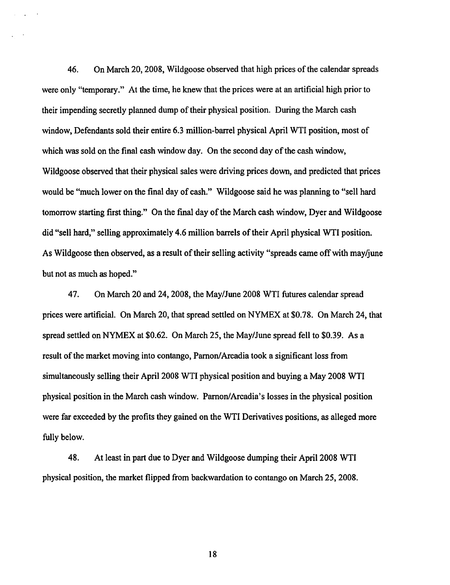46. On March 20, 2008, Wildgoose observed that high prices of the calendar spreads were only "temporary." At the time, he knew that the prices were at an artificial high prior to their impending secretly planned dump of their physical position. During the March cash window, Defendants sold their entire 6.3 million-barrel physical April WTI position, most of which was sold on the final cash window day. On the second day of the cash window, Wildgoose observed that their physical sales were driving prices down, and predicted that prices would be "much lower on the final day of cash." Wildgoose said he was planning to "sell hard tomorrow starting first thing." On the final day of the March cash window, Dyer and Wildgoose did "sell hard," selling approximately 4.6 million barrels of their April physical WTI position. As Wildgoose then observed, as a result of their selling activity "spreads came off with may/june but not as much as hoped."

47. On March 20 and 24, 2008, the May/June 2008 WTI futures calendar spread prices were artificial. On March 20, that spread settled on NYMEX at \$0. 78. On March 24, that spread settled on NYMEX at \$0.62. On March 25, the May/June spread fell to \$0.39. As a result of the market moving into contango, Parnon/Arcadia took a significant loss from simultaneously selling their April 2008 WTI physical position and buying a May 2008 WTI physical position in the March cash window. Parnon/Arcadia's losses in the physical position were far exceeded by the profits they gained on the WTI Derivatives positions, as alleged more fully below.

48. At least in part due to Dyer and Wildgoose dumping their April 2008 WTI physical position, the market flipped from backwardation to contango on March 25, 2008.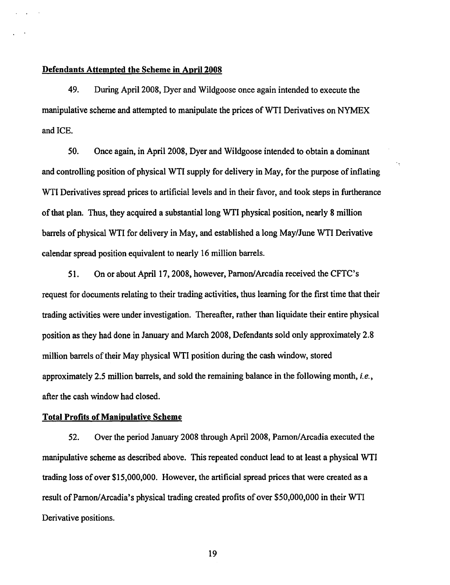## Defendants Attempted the Scheme in April 2008

49. During April2008, Dyer and Wildgoose once again intended to execute the manipulative scheme and attempted to manipulate the prices of WTI Derivatives on NYMEX and ICE.

50. Once again, in April 2008, Dyer and Wildgoose intended to obtain a dominant and controlling position of physical WTI supply for delivery in May, for the purpose of inflating WTI Derivatives spread prices to artificial levels and in their favor, and took steps in furtherance of that plan. Thus, they acquired a substantial long WTI physical position, nearly 8 million barrels of physical WTI for delivery in May, and established a long May/June WTI Derivative calendar spread position equivalent to nearly 16 million barrels.

51. On or about April 17, 2008, however, Parnon/Arcadia received the CFTC's request for documents relating to their trading activities, thus learning for the first time that their trading activities were under investigation. Thereafter, rather than liquidate their entire physical position as they had done in January and March 2008, Defendants sold only approximately 2.8 million barrels of their May physical WTI position during the cash window, stored approximately 2.5 million barrels, and sold the remaining balance in the following month, *i.e.,*  after the cash window had closed.

#### Total Profits of Manipulative Scheme

52. Over the period January 2008 through April2008, Parnon/Arcadia executed the manipulative scheme as described above. This repeated conduct lead to at least a physical WTI trading loss of over \$15,000,000. However, the artificial spread prices that were created as a result of Parnon/Arcadia's physical trading created profits of over \$50,000,000 in their WTI Derivative positions.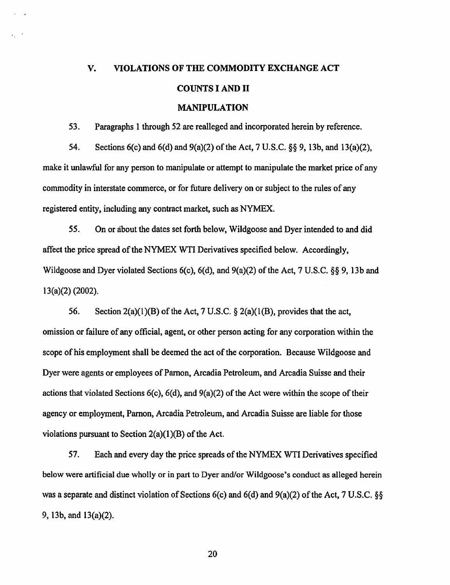# V. VIOLATIONS OF THE COMMODITY EXCHANGE ACT COUNTS I AND II MANIPULATION

53. Paragraphs 1 through 52 are realleged and incorporated herein by reference.

54. Sections 6(c) and 6(d) and 9(a)(2) of the Act, 7 U.S.C. §§ 9, 13b, and 13(a)(2), make it unlawful for any person to manipulate or attempt to manipulate the market price of any commodity in interstate commerce, or for future delivery on or subject to the rules of any registered entity, including any contract market, such as NYMEX.

*55.* On or about the dates set forth below, Wildgoose and Dyer intended to and did affect the price spread of the NYMEX WTI Derivatives specified below. Accordingly, Wildgoose and Dyer violated Sections 6(c), 6(d), and 9(a)(2) of the Act, 7 U.S.C. §§ 9, 13b and 13(a)(2) (2002).

56. Section 2(a)(l)(B) of the Act, 7 U.S.C. § 2(a)(l(B), provides that the act, omission or failure of any official, agent, or other person acting for any corporation within the scope of his employment shall be deemed the act of the corporation. Because Wildgoose and Dyer were agents or employees of Parnon, Arcadia Petroleum, and Arcadia Suisse and their actions that violated Sections 6(c), 6(d), and 9(a)(2) of the Act were within the scope of their agency or employment, Parnon, Arcadia Petroleum, and Arcadia Suisse are liable for those violations pursuant to Section  $2(a)(1)(B)$  of the Act.

57. Each and every day the price spreads of the NYMEX WTI Derivatives specified below were artificial due wholly or in part to Dyer and/or Wildgoose's conduct as alleged herein was a separate and distinct violation of Sections 6(c) and 6(d) and 9(a)(2) of the Act, 7 U.S.C. §§ 9, 13b, and 13(a)(2).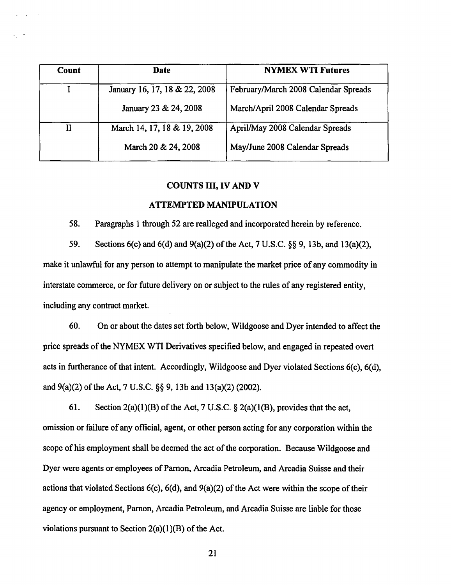| Count | Date                          | <b>NYMEX WTI Futures</b>             |
|-------|-------------------------------|--------------------------------------|
|       | January 16, 17, 18 & 22, 2008 | February/March 2008 Calendar Spreads |
|       | January 23 & 24, 2008         | March/April 2008 Calendar Spreads    |
| II    | March 14, 17, 18 & 19, 2008   | April/May 2008 Calendar Spreads      |
|       | March 20 & 24, 2008           | May/June 2008 Calendar Spreads       |

## COUNTS III, IV AND V

#### ATTEMPTED MANIPULATION

58. Paragraphs 1 through 52 are realleged and incorporated herein by reference.

59. Sections 6(c) and 6(d) and 9(a)(2) of the Act, 7 U.S.C. §§ 9, 13b, and 13(a)(2), make it unlawful for any person to attempt to manipulate the market price of any commodity in interstate commerce, or for future delivery on or subject to the rules of any registered entity, including any contract market.

60. On or about the dates set forth below, Wildgoose and Dyer intended to affect the price spreads of the NYMEX WTI Derivatives specified below, and engaged in repeated overt acts in furtherance of that intent. Accordingly, Wildgoose and Dyer violated Sections 6(c), 6(d), and 9(a)(2) of the Act, 7 U.S.C. §§ 9, 13b and 13(a)(2) (2002).

61. Section  $2(a)(1)(B)$  of the Act, 7 U.S.C. §  $2(a)(1)(B)$ , provides that the act, omission or failure of any official, agent, or other person acting for any corporation within the scope of his employment shall be deemed the act of the corporation. Because Wildgoose and Dyer were agents or employees of Parnon, Arcadia Petroleum, and Arcadia Suisse and their actions that violated Sections 6(c), 6(d), and 9(a)(2) of the Act were within the scope of their agency or employment, Parnon, Arcadia Petroleum, and Arcadia Suisse are liable for those violations pursuant to Section  $2(a)(1)(B)$  of the Act.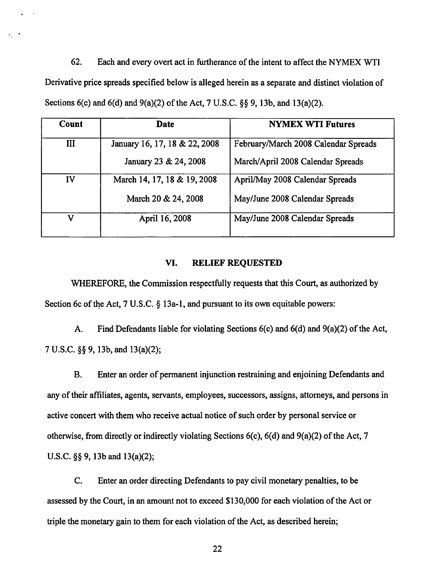62. Each and every overt act in furtherance of the intent to affect the NYMEX WTI Derivative price spreads specified below is alleged herein as a separate and distinct violation of Sections 6(c) and 6(d) and 9(a)(2) of the Act, 7 U.S.C. §§ 9, 13b, and 13(a)(2).

 $\ddot{\phantom{a}}$ 

| Count | Date                          | <b>NYMEX WTI Futures</b>             |
|-------|-------------------------------|--------------------------------------|
| Ш     | January 16, 17, 18 & 22, 2008 | February/March 2008 Calendar Spreads |
|       | January 23 & 24, 2008         | March/April 2008 Calendar Spreads    |
| IV    | March 14, 17, 18 & 19, 2008   | April/May 2008 Calendar Spreads      |
|       | March 20 & 24, 2008           | May/June 2008 Calendar Spreads       |
| v     | April 16, 2008                | May/June 2008 Calendar Spreads       |

# VI. RELIEF REQUESTED

WHEREFORE, the Commission respectfully requests that this Court, as authorized by Section 6c of the Act, 7 U.S.C.  $\S$  13a-1, and pursuant to its own equitable powers:

A. Find Defendants liable for violating Sections 6(c) and 6(d) and 9(a)(2) of the Act, 7 U.S.C. §§ 9, 13b, and 13(a)(2);

B. Enter an order of permanent injunction restraining and enjoining Defendants and any of their affiliates, agents, servants, employees, successors, assigns, attorneys, and persons in active concert with them who receive actual notice of such order by personal service or otherwise, from directly or indirectly violating Sections 6(c), 6(d) and 9(a)(2) of the Act, 7 U.S.C. §§ 9, 13b and 13(a)(2);

C. Enter an order directing Defendants to pay civil monetary penalties, to be assessed by the Court, in an amount not to exceed \$130,000 for each violation of the Act or triple the monetary gain to them for each violation of the Act, as described herein;